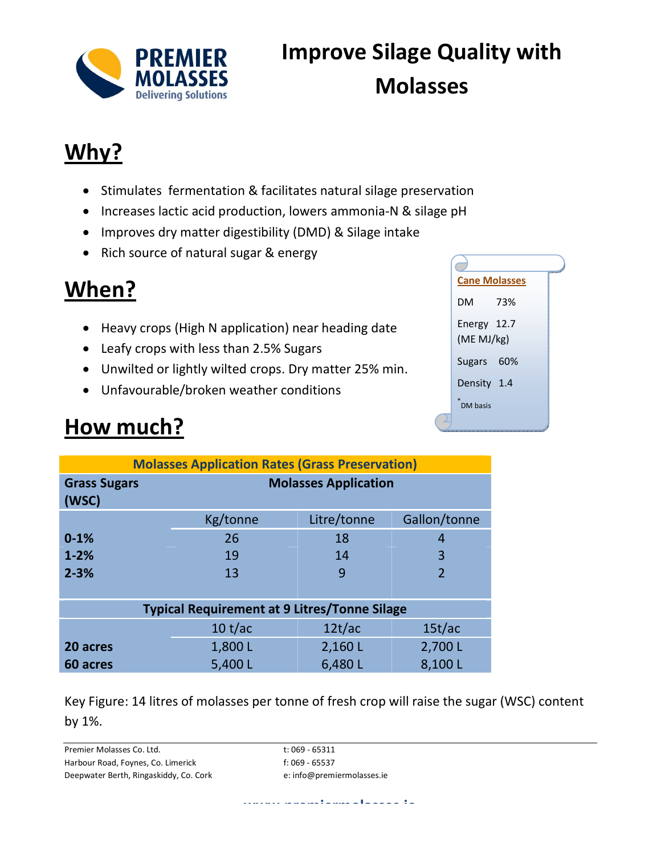

# **Improve Silage Quality with Molasses**

#### **Why?**

- Stimulates fermentation & facilitates natural silage preservation
- Increases lactic acid production, lowers ammonia-N & silage pH
- Improves dry matter digestibility (DMD) & Silage intake
- Rich source of natural sugar & energy

### **When?**

- Heavy crops (High N application) near heading date
- Leafy crops with less than 2.5% Sugars
- Unwilted or lightly wilted crops. Dry matter 25% min.
- Unfavourable/broken weather conditions

### **How much?**

| <b>Cane Molasses</b>      | <b>VEC</b> |
|---------------------------|------------|
| DM                        | 73%        |
| Energy 12.7<br>(ME MJ/kg) |            |
| Sugars 60%                |            |
| Density 1.4               |            |
| ×.<br>DM basis            |            |
|                           |            |

| <b>Molasses Application Rates (Grass Preservation)</b> |                             |             |                |  |
|--------------------------------------------------------|-----------------------------|-------------|----------------|--|
| <b>Grass Sugars</b><br>(WSC)                           | <b>Molasses Application</b> |             |                |  |
|                                                        | Kg/tonne                    | Litre/tonne | Gallon/tonne   |  |
| $0 - 1%$                                               | 26                          | 18          | 4              |  |
| $1 - 2%$                                               | 19                          | 14          | 3              |  |
| $2 - 3%$                                               | 13                          | 9           | $\overline{2}$ |  |
|                                                        |                             |             |                |  |
| <b>Typical Requirement at 9 Litres/Tonne Silage</b>    |                             |             |                |  |
|                                                        | 10 t/ac                     | 12t/ac      | 15t/ac         |  |
| 20 acres                                               | 1,800L                      | 2,160L      | 2,700L         |  |
| 60 acres                                               | 5,400L                      | 6,480L      | 8,100L         |  |

Key Figure: 14 litres of molasses per tonne of fresh crop will raise the sugar (WSC) content by 1%.

Premier Molasses Co. Ltd. t: 069 - 65311 Harbour Road, Foynes, Co. Limerick f: 069 - 65537 Deepwater Berth, Ringaskiddy, Co. Cork e: info@premiermolasses.ie

**www.premiermolasses.ie**